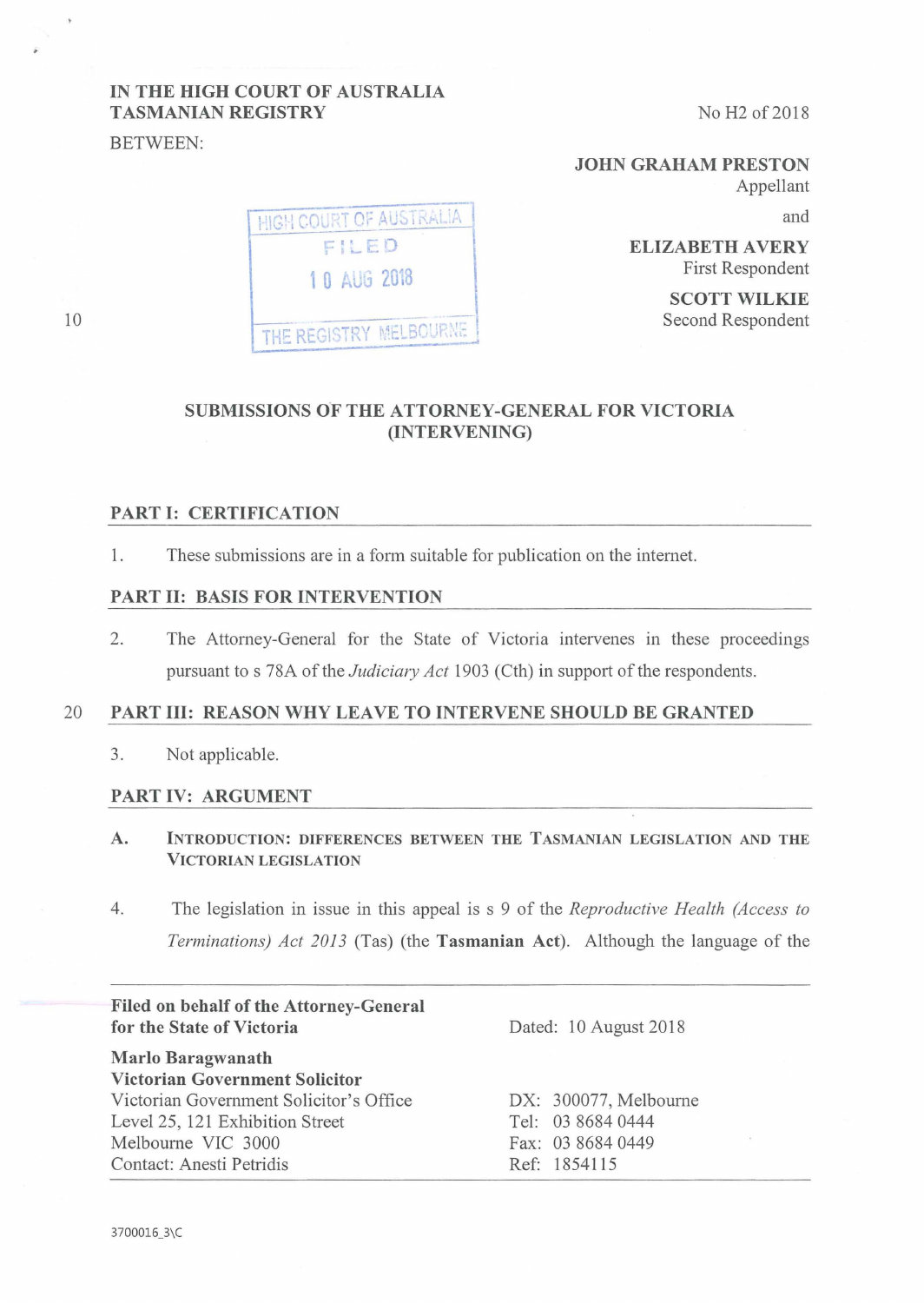# IN THE HIGH COURT OF AUSTRALIA TASMANIAN REGISTRY

BETWEEN:

JOHN GRAHAM PRESTON Appellant

and

ELIZABETH AVERY First Respondent

> SCOTT WILKIE Second Respondent

# SUBMISSIONS OF THE ATTORNEY-GENERAL FOR VICTORIA (INTERVENING)

#### PART I: CERTIFICATION

1. These submissions are in a form suitable for publication on the internet.

1 0 AUG 2018

THE REGISTRY MELBOURNE

**HIGH COURT OF AUSTRALIA** FILED

#### PART 11: BASIS FOR INTERVENTION

2. The Attorney-General for the State of Victoria intervenes in these proceedings pursuant to s 78A of the *Judiciary Act* 1903 (Cth) in support of the respondents.

### 20 PART III: REASON WHY LEAVE TO INTERVENE SHOULD BE GRANTED

3. Not applicable.

#### PART IV: ARGUMENT

- A. INTRODUCTION: DIFFERENCES BETWEEN THE TASMANIAN LEGISLATION AND THE VICTORIAN LEGISLATION
- 4. The legislation in issue in this appeal is s 9 of the *Reproductive Health (Access to Terminations) Act 2013* (Tas) (the Tasmanian Act). Although the language of the

| Filed on behalf of the Attorney-General<br>for the State of Victoria | Dated: 10 August 2018 |
|----------------------------------------------------------------------|-----------------------|
| Marlo Baragwanath<br><b>Victorian Government Solicitor</b>           |                       |
| Victorian Government Solicitor's Office                              | DX: 300077, Melbourne |
| Level 25, 121 Exhibition Street                                      | Tel: 03 8684 0444     |
| Melbourne VIC 3000                                                   | Fax: 03 8684 0449     |
| Contact: Anesti Petridis                                             | Ref: 1854115          |

10

3700016\_3\C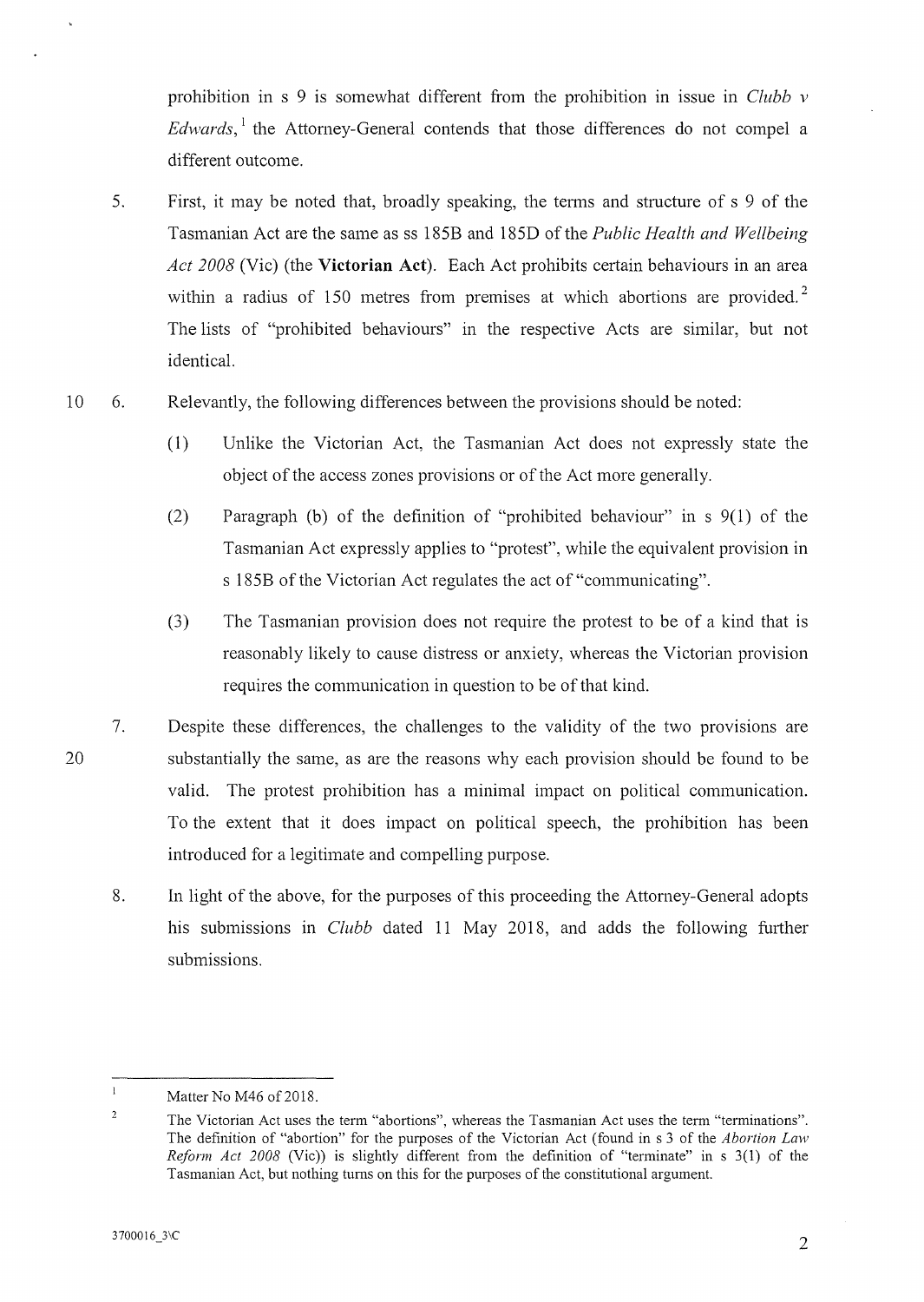prohibition in s 9 is somewhat different from the prohibition in issue in *Clubb v Edwards*,<sup>1</sup> the Attorney-General contends that those differences do not compel a different outcome.

- 5. First, it may be noted that, broadly speaking, the terms and structure of s 9 of the Tasmanian Act are the same as ss 185B and 185D of the *Public Health and Wellbeing Act 2008* (Vie) (the **Victorian Act).** Each Act prohibits certain behaviours in an area within a radius of 150 metres from premises at which abortions are provided.<sup>2</sup> The lists of "prohibited behaviours" in the respective Acts are similar, but not identical.
- 10 6. Relevantly, the following differences between the provisions should be noted:
	- (1) Unlike the Victorian Act, the Tasmanian Act does not expressly state the object of the access zones provisions or of the Act more generally.
	- (2) Paragraph (b) of the definition of "prohibited behaviour" in  $s \theta(1)$  of the Tasmanian Act expressly applies to "protest", while the equivalent provision in s 185B of the Victorian Act regulates the act of "communicating".
	- (3) The Tasmanian provision does not require the protest to be of a kind that is reasonably likely to cause distress or anxiety, whereas the Victorian provision requires the communication in question to be of that kind.
	- 7. Despite these differences, the challenges to the validity of the two provisions are substantially the same, as are the reasons why each provision should be found to be valid. The protest prohibition has a minimal impact on political communication. To the extent that it does impact on political speech, the prohibition has been introduced for a legitimate and compelling purpose.
		- 8. In light of the above, for the purposes of this proceeding the Attorney-General adopts his submissions in *Clubb* dated 11 May 2018, and adds the following further submissions.

 $\mathbf{I}$ Matter No M46 of 2018.

 $\overline{2}$ The Victorian Act uses the term "abortions", whereas the Tasmanian Act uses the term "terminations". The definition of "abortion" for the purposes of the Victorian Act (found in s 3 of the *Abortion Law Reform Act 2008* (Vie)) is slightly different from the definition of "terminate" in s 3(1) of the Tasmanian Act, but nothing turns on this for the purposes of the constitutional argument.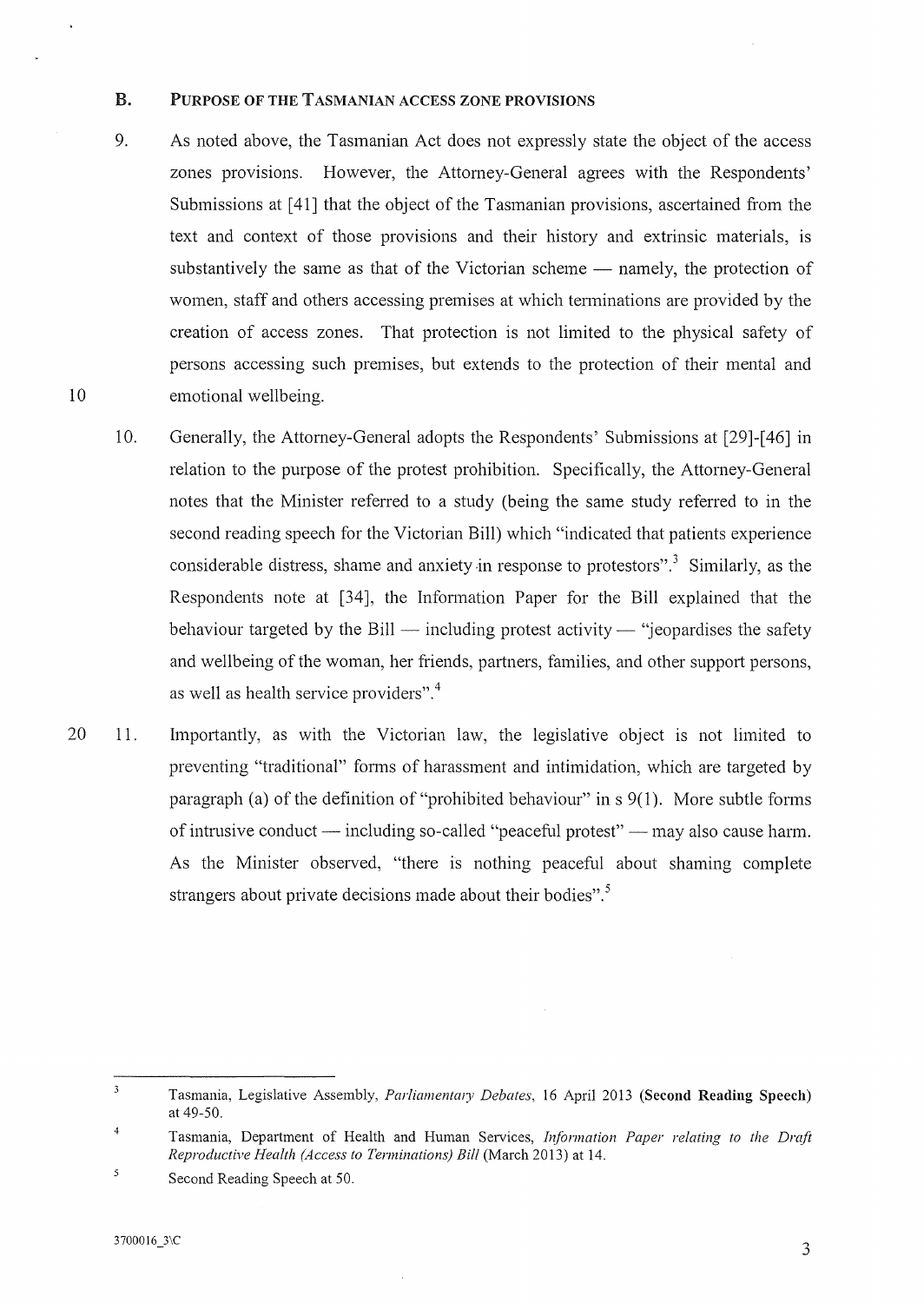### B. PURPOSE OF THE TASMANIAN ACCESS ZONE PROVISIONS

- 9. As noted above, the Tasmanian Act does not expressly state the object of the access zones provisions. However, the Attorney-General agrees with the Respondents' Submissions at [41] that the object of the Tasmanian provisions, ascertained from the text and context of those provisions and their history and extrinsic materials, is substantively the same as that of the Victorian scheme  $-$  namely, the protection of women, staff and others accessing premises at which tenninations are provided by the creation of access zones. That protection is not limited to the physical safety of persons accessing such premises, but extends to the protection of their mental and emotional wellbeing.
- 10. Generally, the Attomey-General adopts the Respondents' Submissions at [29]-[ 46] in relation to the purpose of the protest prohibition. Specifically, the Attomey-General notes that the Minister referred to a study (being the same study referred to in the second reading speech for the Victorian Bill) which "indicated that patients experience considerable distress, shame and anxiety in response to protestors".<sup>3</sup> Similarly, as the Respondents note at [34], the Information Paper for the Bill explained that the behaviour targeted by the Bill — including protest activity — "jeopardises the safety and wellbeing of the woman, her friends, partners, families, and other support persons, as well as health service providers". <sup>4</sup>
- 20 11. Importantly, as with the Victorian law, the legislative object is not limited to preventing "traditional" forms of harassment and intimidation, which are targeted by paragraph (a) of the definition of "prohibited behaviour" in  $s \, 9(1)$ . More subtle forms of intrusive conduct — including so-called "peaceful protest" — may also cause harm. As the Minister observed, "there is nothing peaceful about shaming complete strangers about private decisions made about their bodies".<sup>5</sup>

 $\overline{\mathbf{3}}$ Tasmania, Legislative Assembly, *Parliamenta1y Debates,* 16 April 2013 (Second Reading Speech) at 49-50.

<sup>4</sup>  Tasmania, Department of Health and Human Services, *Information Paper relating to the Draft Reproductive Health (Access to Terminations) Bill* (March 2013) at 14.

 $\overline{5}$ Second Reading Speech at 50.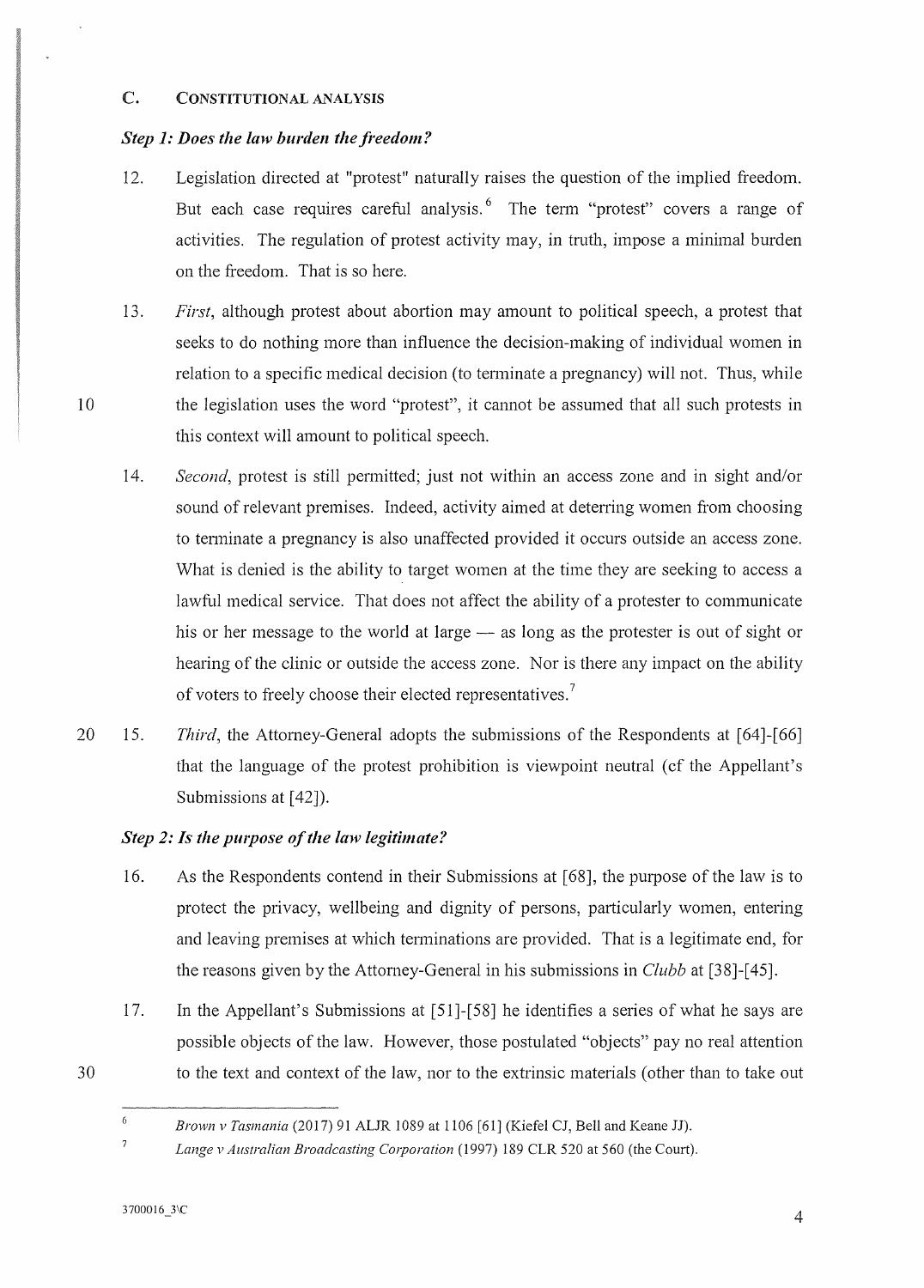### C. CONSTITUTIONAL ANALYSIS

10

## *Step 1: Does the law burden the freedom?*

- 12. Legislation directed at "protest" naturally raises the question of the implied freedom. But each case requires careful analysis.  $6\text{ }$  The term "protest" covers a range of activities. The regulation of protest activity may, in truth, impose a minimal burden on the freedom. That is so here.
- 13. *First,* although protest about abortion may amount to political speech, a protest that seeks to do nothing more than influence the decision-making of individual women in relation to a specific medical decision (to tenninate a pregnancy) will not. Thus, while the legislation uses the word "protest", it cannot be assumed that all such protests in this context will amount to political speech.
- 14. *Second*, protest is still permitted; just not within an access zone and in sight and/or sound of relevant premises. Indeed, activity aimed at deterring women from choosing to tenninate a pregnancy is also unaffected provided it occurs outside an access zone. What is denied is the ability to target women at the time they are seeking to access a lawful medical service. That does not affect the ability of a protester to communicate his or her message to the world at large  $-$  as long as the protester is out of sight or hearing of the clinic or outside the access zone. Nor is there any impact on the ability of voters to freely choose their elected representatives.<sup>7</sup>
- 20 15. *Third,* the Attorney-General adopts the submissions of the Respondents at [64]-[66] that the language of the protest prohibition is viewpoint neutral ( cf the Appellant's Submissions at [42]).

# *Step 2: Is the purpose of the law legitimate?*

- 16. As the Respondents contend in their Submissions at [ 68], the purpose of the law is to protect the privacy, wellbeing and dignity of persons, particularly women, entering and leaving premises at which terminations are provided. That is a legitimate end, for the reasons given by the Attorney-General in his submissions in *Clubb* at [38]-[ 45].
- 17. In the Appellant's Submissions at [51]-[58] he identifies a series of what he says are possible objects of the law. However, those postulated "objects" pay no real attention to the text and context of the law, nor to the extrinsic materials (other than to take out

30

<sup>6</sup>*Brown v Tasmania* (2017) 91 ALJR 1089 at 1106 [61] (Kiefel CJ, Bell and Keane JJ).

 $\overline{\mathcal{I}}$ Lange v Australian Broadcasting Corporation (1997) 189 CLR 520 at 560 (the Court).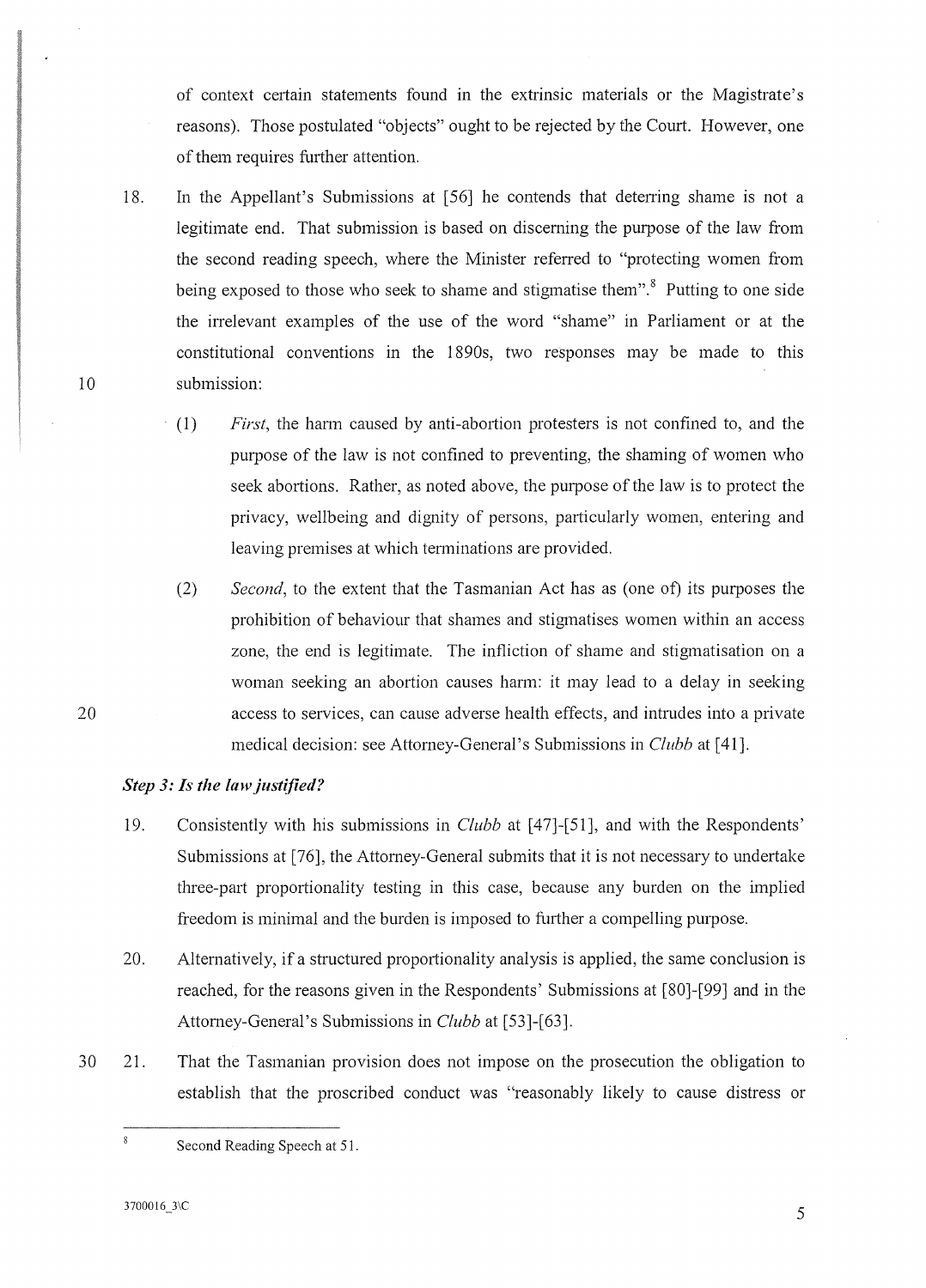of context certain statements found in the extrinsic materials or the Magistrate's reasons). Those postulated "objects" ought to be rejected by the Court. However, one of them requires further attention.

- 18. In the Appellant's Submissions at [56] he contends that deterring shame is not a legitimate end. That submission is based on disceming the purpose of the law from the second reading speech, where the Minister referred to "protecting women from being exposed to those who seek to shame and stigmatise them".<sup>8</sup> Putting to one side the irrelevant examples of the use of the word "shame" in Parliament or at the constitutional conventions in the 1890s, two responses may be made to this submission:
	- ( 1) *First,* the hann caused by anti-abortion protesters is not confined to, and the purpose of the law is not confined to preventing, the shaming of women who seek abortions. Rather, as noted above, the purpose of the law is to protect the privacy, wellbeing and dignity of persons, particularly women, entering and leaving premises at which terminations are provided.
	- (2) *Second,* to the extent that the Tasmanian Act has as (one of) its purposes the prohibition of behaviour that shames and stigmatises women within an access zone, the end is legitimate. The infliction of shame and stigmatisation on a woman seeking an abortion causes harm: it may lead to a delay in seeking access to services, can cause adverse health effects, and intrudes into a private medical decision: see Attorney-General's Submissions in *Clubb* at [41].

# *Step 3: Is the law justified?*

- 19. Consistently with his submissions in *Clubb* at [47]-[51], and with the Respondents' Submissions at [76], the Attomey-General submits that it is not necessary to undertake three-pati proportionality testing in this case, because any burden on the implied freedom is minimal and the burden is imposed to further a compelling purpose.
- 20. Alternatively, if a structured proportionality analysis is applied, the same conclusion is reached, for the reasons given in the Respondents' Submissions at (80]-(99] and in the Attomey-General's Submissions in *Clubb* at [53]-[63].
- 30 21. That the Tasmanian provision does not impose on the prosecution the obligation to establish that the proscribed conduct was "reasonably likely to cause distress or

 $3700016\_3$  \C 5

 $\hat{\mathbf{8}}$ 

10

20

Second Reading Speech at 51.